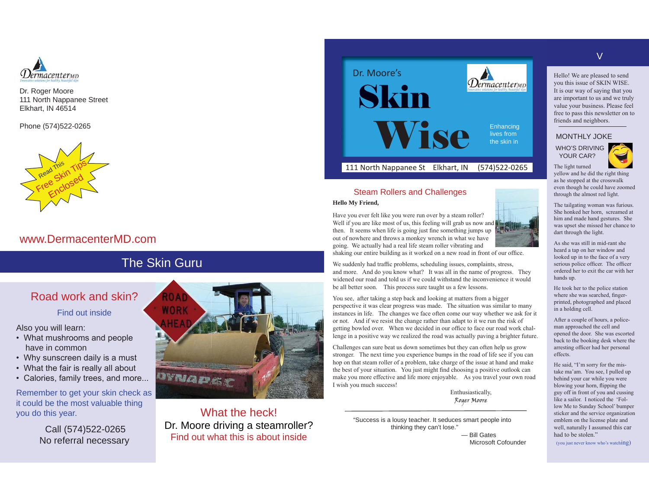

Dr. Roger Moore 111 North Nappanee Street Elkhart, IN 46514

Phone (574)522-0265



## www.DermacenterMD.com

# The Skin Guru

# Road work and skin?

Find out inside

Also you will learn:

- What mushrooms and people have in common
- $\cdot$  Why sunscreen daily is a must
- What the fair is really all about
- Calories, family trees, and more...

Remember to get your skin check as it could be the most valuable thing you do this year.

> Call (574)522-0265 No referral necessary



What the heck!Dr. Moore driving a steamroller? Find out what this is about inside



### Steam Rollers and Challenges

#### **Hello My Friend,**

Have you ever felt like you were run over by a steam roller? Well if you are like most of us, this feeling will grab us now and then. It seems when life is going just fine something jumps up out of nowhere and throws a monkey wrench in what we have going. We actually had a real life steam roller vibrating and



shaking our entire building as it worked on a new road in front of our office.

We suddenly had traffic problems, scheduling issues, complaints, stress, and more. And do you know what? It was all in the name of progress. They widened our road and told us if we could withstand the inconvenience it would be all better soon. This process sure taught us a few lessons.

You see, after taking a step back and looking at matters from a bigger berspective it was clear progress was made. The situation was similar to many instances in life. 7he changes we face often come our way whether we ask for it or not. And if we resist the change rather than adapt to it we run the risk of getting bowled over. When we decided in our office to face our road work challenge in a positive way we realized the road was actually paving a brighter future.

Challenges can sure beat us down sometimes but they can often help us grow stronger. The next time you experience bumps in the road of life see if you can hop on that steam roller of a problem, take charge of the issue at hand and make the best of your situation. You just might find choosing a positive outlook can make you more effective and life more enjoyable. As you travel your own road I wish you much success!

> Enthusiastically, Roger Moore

 "Success is a lousy teacher. It seduces smart people into thinking they can't lose." — Bill Gates

**Microsoft Cofounder** 

V

Hello! We are pleased to send you this issue of SKIN WISE. It is our way of saying that you are important to us and we truly value your business. Please feel free to pass this newsletter on to friends and neighbors.

#### MONTHLY JOKE

 WHO'S DRIVING YOUR CAR?

yellow and he did the right thing as he stopped at the crosswalk even though he could have zoomed through the almost red light.

7he tailgating woman was furious. She honked her horn, screamed at him and made hand gestures. She was upset she missed her chance to dart through the light.

As she was still in mid-rant she heard a tap on her window and looked up in to the face of a very serious police officer. The officer ordered her to exit the car with her hands up.

He took her to the police station where she was searched, fingerprinted, photographed and placed in a holding cell.

After a couple of hours, a policeman approached the cell and opened the door. She was escorted back to the booking desk where the arresting officer had her personal effects.

He said, "I'm sorry for the mistake ma'am. You see, I pulled up behind your car while you were blowing your horn, flipping the guy off in front of you and cussing like a sailor. I noticed the 'Follow Me to Sunday School' bumper sticker and the service organization emblem on the license plate and well, naturally I assumed this car had to be stolen."

(you just never know who's watching)